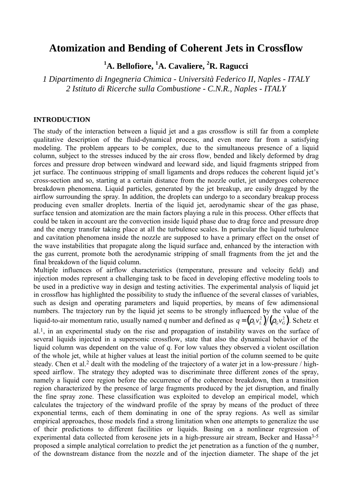# **Atomization and Bending of Coherent Jets in Crossflow**

**1 A. Bellofiore, 1 A. Cavaliere, <sup>2</sup> R. Ragucci** 

*1 Dipartimento di Ingegneria Chimica - Università Federico II, Naples - ITALY 2 Istituto di Ricerche sulla Combustione - C.N.R., Naples - ITALY* 

## **INTRODUCTION**

The study of the interaction between a liquid jet and a gas crossflow is still far from a complete qualitative description of the fluid-dynamical process, and even more far from a satisfying modeling. The problem appears to be complex, due to the simultaneous presence of a liquid column, subject to the stresses induced by the air cross flow, bended and likely deformed by drag forces and pressure drop between windward and leeward side, and liquid fragments stripped from jet surface. The continuous stripping of small ligaments and drops reduces the coherent liquid jet's cross-section and so, starting at a certain distance from the nozzle outlet, jet undergoes coherence breakdown phenomena. Liquid particles, generated by the jet breakup, are easily dragged by the airflow surrounding the spray. In addition, the droplets can undergo to a secondary breakup process producing even smaller droplets. Inertia of the liquid jet, aerodynamic shear of the gas phase, surface tension and atomization are the main factors playing a rule in this process. Other effects that could be taken in account are the convection inside liquid phase due to drag force and pressure drop and the energy transfer taking place at all the turbulence scales. In particular the liquid turbulence and cavitation phenomena inside the nozzle are supposed to have a primary effect on the onset of the wave instabilities that propagate along the liquid surface and, enhanced by the interaction with the gas current, promote both the aerodynamic stripping of small fragments from the jet and the final breakdown of the liquid column.

Multiple influences of airflow characteristics (temperature, pressure and velocity field) and injection modes represent a challenging task to be faced in developing effective modeling tools to be used in a predictive way in design and testing activities. The experimental analysis of liquid jet in crossflow has highlighted the possibility to study the influence of the several classes of variables, such as design and operating parameters and liquid properties, by means of few adimensional numbers. The trajectory run by the liquid jet seems to be strongly influenced by the value of the liquid-to-air momentum ratio, usually named *q* number and defined as  $q = (\rho_L v_L^2) / (\rho_G v_G^2)$ . Schetz et

al.1, in an experimental study on the rise and propagation of instability waves on the surface of several liquids injected in a supersonic crossflow, state that also the dynamical behavior of the liquid column was dependent on the value of *q*. For low values they observed a violent oscillation of the whole jet, while at higher values at least the initial portion of the column seemed to be quite steady. Chen et al.2 dealt with the modeling of the trajectory of a water jet in a low-pressure / highspeed airflow. The strategy they adopted was to discriminate three different zones of the spray, namely a liquid core region before the occurrence of the coherence breakdown, then a transition region characterized by the presence of large fragments produced by the jet disruption, and finally the fine spray zone. These classification was exploited to develop an empirical model, which calculates the trajectory of the windward profile of the spray by means of the product of three exponential terms, each of them dominating in one of the spray regions. As well as similar empirical approaches, those models find a strong limitation when one attempts to generalize the use of their predictions to different facilities or liquids. Basing on a nonlinear regression of experimental data collected from kerosene jets in a high-pressure air stream, Becker and Hassa<sup>3-5</sup> proposed a simple analytical correlation to predict the jet penetration as a function of the *q* number, of the downstream distance from the nozzle and of the injection diameter. The shape of the jet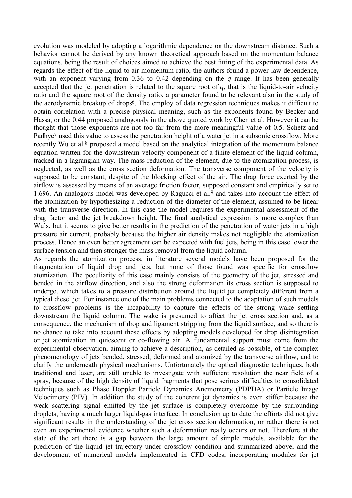evolution was modeled by adopting a logarithmic dependence on the downstream distance. Such a behavior cannot be derived by any known theoretical approach based on the momentum balance equations, being the result of choices aimed to achieve the best fitting of the experimental data. As regards the effect of the liquid-to-air momentum ratio, the authors found a power-law dependence, with an exponent varying from 0.36 to 0.42 depending on the *q* range. It has been generally accepted that the jet penetration is related to the square root of  $q$ , that is the liquid-to-air velocity ratio and the square root of the density ratio, a parameter found to be relevant also in the study of the aerodynamic breakup of drops6. The employ of data regression techniques makes it difficult to obtain correlation with a precise physical meaning, such as the exponents found by Becker and Hassa, or the 0.44 proposed analogously in the above quoted work by Chen et al. However it can be thought that those exponents are not too far from the more meaningful value of 0.5. Schetz and Padhye<sup>7</sup> used this value to assess the penetration height of a water jet in a subsonic crossflow. More recently Wu et al.8 proposed a model based on the analytical integration of the momentum balance equation written for the downstream velocity component of a finite element of the liquid column, tracked in a lagrangian way. The mass reduction of the element, due to the atomization process, is neglected, as well as the cross section deformation. The transverse component of the velocity is supposed to be constant, despite of the blocking effect of the air. The drag force exerted by the airflow is assessed by means of an average friction factor, supposed constant and empirically set to 1.696. An analogous model was developed by Ragucci et al.<sup>9</sup> and takes into account the effect of the atomization by hypothesizing a reduction of the diameter of the element, assumed to be linear with the transverse direction. In this case the model requires the experimental assessment of the drag factor and the jet breakdown height. The final analytical expression is more complex than Wu's, but it seems to give better results in the prediction of the penetration of water jets in a high pressure air current, probably because the higher air density makes not negligible the atomization process. Hence an even better agreement can be expected with fuel jets, being in this case lower the surface tension and then stronger the mass removal from the liquid column.

As regards the atomization process, in literature several models have been proposed for the fragmentation of liquid drop and jets, but none of those found was specific for crossflow atomization. The peculiarity of this case mainly consists of the geometry of the jet, stressed and bended in the airflow direction, and also the strong deformation its cross section is supposed to undergo, which takes to a pressure distribution around the liquid jet completely different from a typical diesel jet. For instance one of the main problems connected to the adaptation of such models to crossflow problems is the incapability to capture the effects of the strong wake settling downstream the liquid column. The wake is presumed to affect the jet cross section and, as a consequence, the mechanism of drop and ligament stripping from the liquid surface, and so there is no chance to take into account those effects by adopting models developed for drop disintegration or jet atomization in quiescent or co-flowing air. A fundamental support must come from the experimental observation, aiming to achieve a description, as detailed as possible, of the complex phenomenology of jets bended, stressed, deformed and atomized by the transverse airflow, and to clarify the underneath physical mechanisms. Unfortunately the optical diagnostic techniques, both traditional and laser, are still unable to investigate with sufficient resolution the near field of a spray, because of the high density of liquid fragments that pose serious difficulties to consolidated techniques such as Phase Doppler Particle Dynamics Anemometry (PDPDA) or Particle Image Velocimetry (PIV). In addition the study of the coherent jet dynamics is even stiffer because the weak scattering signal emitted by the jet surface is completely overcome by the surrounding droplets, having a much larger liquid-gas interface. In conclusion up to date the efforts did not give significant results in the understanding of the jet cross section deformation, or rather there is not even an experimental evidence whether such a deformation really occurs or not. Therefore at the state of the art there is a gap between the large amount of simple models, available for the prediction of the liquid jet trajectory under crossflow condition and summarized above, and the development of numerical models implemented in CFD codes, incorporating modules for jet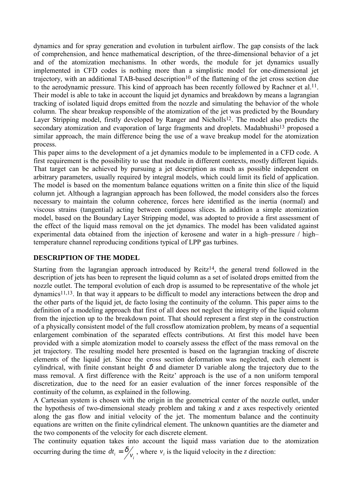dynamics and for spray generation and evolution in turbulent airflow. The gap consists of the lack of comprehension, and hence mathematical description, of the three-dimensional behavior of a jet and of the atomization mechanisms. In other words, the module for jet dynamics usually implemented in CFD codes is nothing more than a simplistic model for one-dimensional jet trajectory, with an additional TAB-based description<sup>10</sup> of the flattening of the jet cross section due to the aerodynamic pressure. This kind of approach has been recently followed by Rachner et al.11. Their model is able to take in account the liquid jet dynamics and breakdown by means a lagrangian tracking of isolated liquid drops emitted from the nozzle and simulating the behavior of the whole column. The shear breakup responsible of the atomization of the jet was predicted by the Boundary Layer Stripping model, firstly developed by Ranger and Nicholls<sup>12</sup>. The model also predicts the secondary atomization and evaporation of large fragments and droplets. Madabhushi<sup>13</sup> proposed a similar approach, the main difference being the use of a wave breakup model for the atomization process.

This paper aims to the development of a jet dynamics module to be implemented in a CFD code. A first requirement is the possibility to use that module in different contexts, mostly different liquids. That target can be achieved by pursuing a jet description as much as possible independent on arbitrary parameters, usually required by integral models, which could limit its field of application. The model is based on the momentum balance equations written on a finite thin slice of the liquid column jet. Although a lagrangian approach has been followed, the model considers also the forces necessary to maintain the column coherence, forces here identified as the inertia (normal) and viscous strains (tangential) acting between contiguous slices. In addition a simple atomization model, based on the Boundary Layer Stripping model, was adopted to provide a first assessment of the effect of the liquid mass removal on the jet dynamics. The model has been validated against experimental data obtained from the injection of kerosene and water in a high–pressure / high– temperature channel reproducing conditions typical of LPP gas turbines.

## **DESCRIPTION OF THE MODEL**

Starting from the lagrangian approach introduced by  $Reitz^{14}$ , the general trend followed in the description of jets has been to represent the liquid column as a set of isolated drops emitted from the nozzle outlet. The temporal evolution of each drop is assumed to be representative of the whole jet dynamics11,13. In that way it appears to be difficult to model any interactions between the drop and the other parts of the liquid jet, de facto losing the continuity of the column. This paper aims to the definition of a modeling approach that first of all does not neglect the integrity of the liquid column from the injection up to the breakdown point. That should represent a first step in the construction of a physically consistent model of the full crossflow atomization problem, by means of a sequential enlargement combination of the separated effects contributions. At first this model have been provided with a simple atomization model to coarsely assess the effect of the mass removal on the jet trajectory. The resulting model here presented is based on the lagrangian tracking of discrete elements of the liquid jet. Since the cross section deformation was neglected, each element is cylindrical, with finite constant height  $\delta$  and diameter D variable along the trajectory due to the mass removal. A first difference with the Reitz' approach is the use of a non uniform temporal discretization, due to the need for an easier evaluation of the inner forces responsible of the continuity of the column, as explained in the following.

A Cartesian system is chosen with the origin in the geometrical center of the nozzle outlet, under the hypothesis of two-dimensional steady problem and taking *x* and *z* axes respectively oriented along the gas flow and initial velocity of the jet. The momentum balance and the continuity equations are written on the finite cylindrical element. The unknown quantities are the diameter and the two components of the velocity for each discrete element.

The continuity equation takes into account the liquid mass variation due to the atomization occurring during the time  $dt_i = \frac{\delta}{v_i}$ , where  $v_i$  is the liquid velocity in the *z* direction: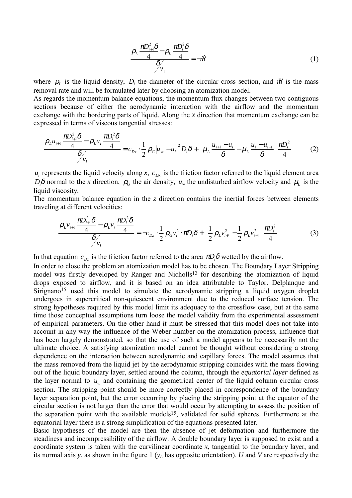$$
\frac{\rho_L \frac{\pi D_{i+1}^2 \delta}{4} - \rho_L \frac{\pi D_i^2 \delta}{4}}{\delta / \nu_i} = -\dot{\mathcal{W}} \tag{1}
$$

where  $\rho_L$  is the liquid density,  $D_i$  the diameter of the circular cross section, and *m* is the mass removal rate and will be formulated later by choosing an atomization model.

As regards the momentum balance equations, the momentum flux changes between two contiguous sections because of either the aerodynamic interaction with the airflow and the momentum exchange with the bordering parts of liquid. Along the *x* direction that momentum exchange can be expressed in terms of viscous tangential stresses:

$$
\frac{\rho_L u_{i+1} \frac{\pi D_{i+1}^2 \delta}{4} - \rho_L u_i \frac{\pi D_i^2 \delta}{4}}{\delta \sqrt{\nu_i}} = c_{Dx} \cdot \frac{1}{2} \rho_G |u_\infty - u_i|^2 D_i \delta + \left(\mu_L \frac{u_{i+1} - u_i}{\delta} - \mu_L \frac{u_i - u_{i-1}}{\delta}\right) \frac{\pi D_i^2}{4}
$$
(2)

 $u_i$  represents the liquid velocity along *x*,  $c_{Dx}$  is the friction factor referred to the liquid element area *D<sub>i</sub>* $\delta$  normal to the *x* direction,  $ρ<sub>G</sub>$  the air density, *u*<sub>∞</sub> the undisturbed airflow velocity and  $μ<sub>L</sub>$  is the liquid viscosity.

The momentum balance equation in the  $\zeta$  direction contains the inertial forces between elements traveling at different velocities:

$$
\frac{\rho_L v_{i+1} \frac{\pi D_{i+1}^2 \delta}{4} - \rho_L v_i \frac{\pi D_i^2 \delta}{4}}{\delta \sqrt{\frac{\delta}{v_i}}} = -c_{Dz} \cdot \frac{1}{2} \rho_G v_i^2 \cdot \pi D_i \delta + \left(\frac{1}{2} \rho_L v_{i+1}^2 - \frac{1}{2} \rho_L v_{i-1}^2\right) \frac{\pi D_i^2}{4}
$$
(3)

In that equation  $c_{Dz}$  is the friction factor referred to the area  $\pi D_i \delta$  wetted by the airflow.

In order to close the problem an atomization model has to be chosen. The Boundary Layer Stripping model was firstly developed by Ranger and Nicholls<sup>12</sup> for describing the atomization of liquid drops exposed to airflow, and it is based on an idea attributable to Taylor. Delplanque and Sirignano<sup>15</sup> used this model to simulate the aerodynamic stripping a liquid oxygen droplet undergoes in supercritical non-quiescent environment due to the reduced surface tension. The strong hypotheses required by this model limit its adequacy to the crossflow case, but at the same time those conceptual assumptions turn loose the model validity from the experimental assessment of empirical parameters. On the other hand it must be stressed that this model does not take into account in any way the influence of the Weber number on the atomization process, influence that has been largely demonstrated, so that the use of such a model appears to be necessarily not the ultimate choice. A satisfying atomization model cannot be thought without considering a strong dependence on the interaction between aerodynamic and capillary forces. The model assumes that the mass removed from the liquid jet by the aerodynamic stripping coincides with the mass flowing out of the liquid boundary layer, settled around the column, through the *equatorial layer* defined as the layer normal to  $u_{\infty}$  and containing the geometrical center of the liquid column circular cross section. The stripping point should be more correctly placed in correspondence of the boundary layer separation point, but the error occurring by placing the stripping point at the equator of the circular section is not larger than the error that would occur by attempting to assess the position of the separation point with the available models15, validated for solid spheres. Furthermore at the equatorial layer there is a strong simplification of the equations presented later.

Basic hypotheses of the model are then the absence of jet deformation and furthermore the steadiness and incompressibility of the airflow. A double boundary layer is supposed to exist and a coordinate system is taken with the curvilinear coordinate *x*, tangential to the boundary layer, and its normal axis *y*, as shown in the figure 1 (*yL* has opposite orientation). *U* and *V* are respectively the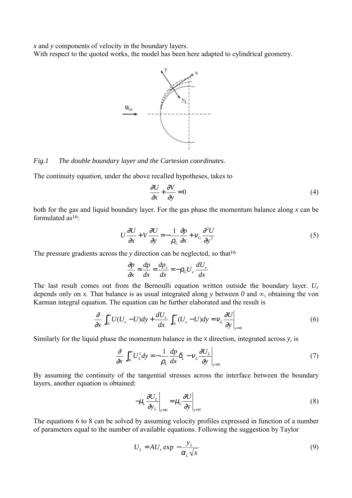*x* and *y* components of velocity in the boundary layers.

With respect to the quoted works, the model has been here adapted to cylindrical geometry.



#### *Fig.1 The double boundary layer and the Cartesian coordinates.*

The continuity equation, under the above recalled hypotheses, takes to

$$
\frac{\partial U}{\partial x} + \frac{\partial V}{\partial y} = 0\tag{4}
$$

both for the gas and liquid boundary layer. For the gas phase the momentum balance along *x* can be formulated as16:

$$
U\frac{\partial U}{\partial x} + V\frac{\partial U}{\partial y} = -\frac{1}{\rho_G}\frac{\partial p}{\partial x} + V_G\frac{\partial^2 U}{\partial y^2}
$$
 (5)

The pressure gradients across the *y* direction can be neglected, so that <sup>16</sup>

$$
\frac{\partial p}{\partial x} \approx \frac{dp}{dx} = \frac{dp_e}{dx} = -\rho_G U_e \frac{dU_e}{dx}
$$

The last result comes out from the Bernoulli equation written outside the boundary layer. *Ue* depends only on *x*. That balance is as usual integrated along *y* between  $\theta$  and  $\infty$ , obtaining the von Karman integral equation. The equation can be further elaborated and the result is

$$
\frac{\partial}{\partial x} \int_0^\infty U(U_e - U) dy + \frac{dU_e}{dx} \int_0^\infty (U_e - U) dy = v_G \frac{\partial U}{\partial y}\Big|_{y=0}
$$
\n(6)

Similarly for the liquid phase the momentum balance in the *x* direction, integrated across *y*, is

$$
\frac{\partial}{\partial x} \int_0^\infty U_L^2 dy = -\frac{1}{\rho_L} \frac{dp}{dx} \delta_L - V_L \frac{\partial U_L}{\partial y}\Big|_{y=0} \tag{7}
$$

By assuming the continuity of the tangential stresses across the interface between the boundary layers, another equation is obtained:

$$
-\mu_L \frac{\partial U_L}{\partial y_L}\bigg|_{y=0} = \mu_G \frac{\partial U}{\partial y}\bigg|_{y=0}
$$
 (8)

The equations 6 to 8 can be solved by assuming velocity profiles expressed in function of a number of parameters equal to the number of available equations. Following the suggestion by Taylor

$$
U_L = AU_e \exp\left(-\frac{y_L}{\alpha_L \sqrt{x}}\right) \tag{9}
$$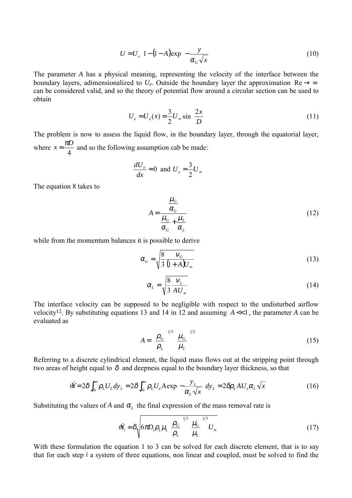$$
U = U_e \left[ 1 - (1 - A) \exp\left( -\frac{y}{\alpha_G \sqrt{x}} \right) \right]
$$
 (10)

The parameter *A* has a physical meaning, representing the velocity of the interface between the boundary layers, adimensionalized to  $U_e$ . Outside the boundary layer the approximation Re  $\rightarrow \infty$ can be considered valid, and so the theory of potential flow around a circular section can be used to obtain

$$
U_e = U_e(x) = \frac{3}{2} U_{\infty} \sin\left(\frac{2x}{D}\right)
$$
 (11)

The problem is now to assess the liquid flow, in the boundary layer, through the equatorial layer, where 4  $\chi \approx \frac{\pi D}{I}$  and so the following assumption cab be made:

$$
\frac{dU_e}{dx} \approx 0 \text{ and } U_e = \frac{3}{2}U_{\infty}
$$

The equation 8 takes to

$$
A = \frac{\frac{\mu_G}{\alpha_G}}{\frac{\mu_G}{\alpha_G} + \frac{\mu_L}{\alpha_L}}
$$
(12)

while from the momentum balances it is possible to derive

$$
\alpha_G = \sqrt{\frac{8}{3} \frac{V_G}{(1+A)U_{\infty}}}
$$
\n(13)

$$
\alpha_{L} = \sqrt{\frac{8}{3} \frac{V_{L}}{AU_{\infty}}}
$$
\n(14)

The interface velocity can be supposed to be negligible with respect to the undisturbed airflow velocity<sup>12</sup>. By substituting equations 13 and 14 in 12 and assuming  $A \ll 1$ , the parameter A can be evaluated as

$$
A = \left(\frac{\rho_G}{\rho_L}\right)^{1/3} \left(\frac{\mu_G}{\mu_L}\right)^{1/3} \tag{15}
$$

Referring to a discrete cylindrical element, the liquid mass flows out at the stripping point through two areas of height equal to  $\delta$  and deepness equal to the boundary layer thickness, so that

$$
\dot{M} = 2\delta \int_0^\infty \rho_L U_L dy_L = 2\delta \int_0^\infty \rho_L U_e A \exp\left(-\frac{y_L}{\alpha_L \sqrt{x}}\right) dy_L = 2\delta \rho_L A U_e \alpha_L \sqrt{x}
$$
(16)

Substituting the values of *A* and  $\alpha_L$  the final expression of the mass removal rate is

$$
\dot{M}_i = \delta \sqrt{6\pi D_i \rho_L \mu_L \left(\frac{\rho_G}{\rho_L}\right)^{3/3} \left(\frac{\mu_G}{\mu_L}\right)^{1/3} U_{\infty}}
$$
\n(17)

With these formulation the equation 1 to 3 can be solved for each discrete element, that is to say that for each step *i* a system of three equations, non linear and coupled, must be solved to find the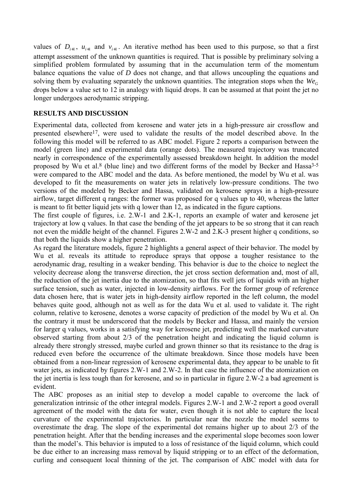values of  $D_{i+1}$ ,  $u_{i+1}$  and  $v_{i+1}$ . An iterative method has been used to this purpose, so that a first attempt assessment of the unknown quantities is required. That is possible by preliminary solving a simplified problem formulated by assuming that in the accumulation term of the momentum balance equations the value of *D* does not change, and that allows uncoupling the equations and solving them by evaluating separately the unknown quantities. The integration stops when the  $W_{\mathcal{C}_G}$ drops below a value set to 12 in analogy with liquid drops. It can be assumed at that point the jet no longer undergoes aerodynamic stripping.

## **RESULTS AND DISCUSSION**

Experimental data, collected from kerosene and water jets in a high-pressure air crossflow and presented elsewhere17, were used to validate the results of the model described above. In the following this model will be referred to as ABC model. Figure 2 reports a comparison between the model (green line) and experimental data (orange dots). The measured trajectory was truncated nearly in correspondence of the experimentally assessed breakdown height. In addition the model proposed by Wu et al.<sup>8</sup> (blue line) and two different forms of the model by Becker and Hassa<sup>3-5</sup> were compared to the ABC model and the data. As before mentioned, the model by Wu et al. was developed to fit the measurements on water jets in relatively low-pressure conditions. The two versions of the modeled by Becker and Hassa, validated on kerosene sprays in a high-pressure airflow, target different q ranges: the former was proposed for q values up to 40, whereas the latter is meant to fit better liquid jets with q lower than 12, as indicated in the figure captions.

The first couple of figures, i.e. 2.W-1 and 2.K-1, reports an example of water and kerosene jet trajectory at low q values. In that case the bending of the jet appears to be so strong that it can reach not even the middle height of the channel. Figures 2.W-2 and 2.K-3 present higher q conditions, so that both the liquids show a higher penetration.

As regard the literature models, figure 2 highlights a general aspect of their behavior. The model by Wu et al. reveals its attitude to reproduce sprays that oppose a tougher resistance to the aerodynamic drag, resulting in a weaker bending. This behavior is due to the choice to neglect the velocity decrease along the transverse direction, the jet cross section deformation and, most of all, the reduction of the jet inertia due to the atomization, so that fits well jets of liquids with an higher surface tension, such as water, injected in low-density airflows. For the former group of reference data chosen here, that is water jets in high-density airflow reported in the left column, the model behaves quite good, although not as well as for the data Wu et al. used to validate it. The right column, relative to kerosene, denotes a worse capacity of prediction of the model by Wu et al. On the contrary it must be underscored that the models by Becker and Hassa, and mainly the version for larger q values, works in a satisfying way for kerosene jet, predicting well the marked curvature observed starting from about 2/3 of the penetration height and indicating the liquid column is already there strongly stressed, maybe curled and grown thinner so that its resistance to the drag is reduced even before the occurrence of the ultimate breakdown. Since those models have been obtained from a non-linear regression of kerosene experimental data, they appear to be unable to fit water jets, as indicated by figures 2.W-1 and 2.W-2. In that case the influence of the atomization on the jet inertia is less tough than for kerosene, and so in particular in figure 2.W-2 a bad agreement is evident.

The ABC proposes as an initial step to develop a model capable to overcome the lack of generalization intrinsic of the other integral models. Figures 2.W-1 and 2.W-2 report a good overall agreement of the model with the data for water, even though it is not able to capture the local curvature of the experimental trajectories. In particular near the nozzle the model seems to overestimate the drag. The slope of the experimental dot remains higher up to about 2/3 of the penetration height. After that the bending increases and the experimental slope becomes soon lower than the model's. This behavior is imputed to a loss of resistance of the liquid column, which could be due either to an increasing mass removal by liquid stripping or to an effect of the deformation, curling and consequent local thinning of the jet. The comparison of ABC model with data for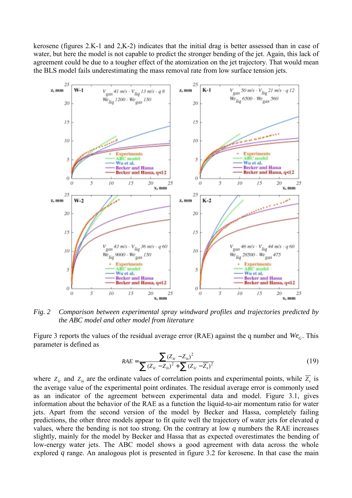kerosene (figures 2.K-1 and 2,K-2) indicates that the initial drag is better assessed than in case of water, but here the model is not capable to predict the stronger bending of the jet. Again, this lack of agreement could be due to a tougher effect of the atomization on the jet trajectory. That would mean the BLS model fails underestimating the mass removal rate from low surface tension jets.



*Fig. 2 Comparison between experimental spray windward profiles and trajectories predicted by the ABC model and other model from literature* 

Figure 3 reports the values of the residual average error (RAE) against the q number and  $We<sub>G</sub>$ . This parameter is defined as

$$
RAE = \frac{\sum (Z_{ic} - Z_{is})^2}{\sum (Z_{ic} - Z_{is})^2 + \sum (Z_{ic} - \overline{Z}_s)^2}
$$
(19)

where  $Z_{ic}$  and  $Z_{is}$  are the ordinate values of correlation points and experimental points, while  $\overline{Z}_{s}$  is the average value of the experimental point ordinates. The residual average error is commonly used as an indicator of the agreement between experimental data and model. Figure 3.1, gives information about the behavior of the RAE as a function the liquid-to-air momentum ratio for water jets. Apart from the second version of the model by Becker and Hassa, completely failing predictions, the other three models appear to fit quite well the trajectory of water jets for elevated *q* values, where the bending is not too strong. On the contrary at low *q* numbers the RAE increases slightly, mainly for the model by Becker and Hassa that as expected overestimates the bending of low-energy water jets. The ABC model shows a good agreement with data across the whole explored *q* range. An analogous plot is presented in figure 3.2 for kerosene. In that case the main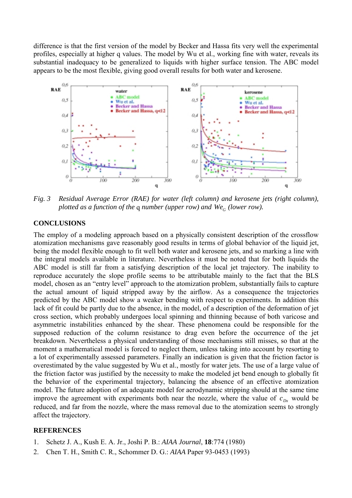difference is that the first version of the model by Becker and Hassa fits very well the experimental profiles, especially at higher q values. The model by Wu et al., working fine with water, reveals its substantial inadequacy to be generalized to liquids with higher surface tension. The ABC model appears to be the most flexible, giving good overall results for both water and kerosene.



*Fig. 3 Residual Average Error (RAE) for water (left column) and kerosene jets (right column), plotted as a function of the q number (upper row) and*  $We<sub>c</sub>$  *(lower row).* 

# **CONCLUSIONS**

The employ of a modeling approach based on a physically consistent description of the crossflow atomization mechanisms gave reasonably good results in terms of global behavior of the liquid jet, being the model flexible enough to fit well both water and kerosene jets, and so marking a line with the integral models available in literature. Nevertheless it must be noted that for both liquids the ABC model is still far from a satisfying description of the local jet trajectory. The inability to reproduce accurately the slope profile seems to be attributable mainly to the fact that the BLS model, chosen as an "entry level" approach to the atomization problem, substantially fails to capture the actual amount of liquid stripped away by the airflow. As a consequence the trajectories predicted by the ABC model show a weaker bending with respect to experiments. In addition this lack of fit could be partly due to the absence, in the model, of a description of the deformation of jet cross section, which probably undergoes local spinning and thinning because of both varicose and asymmetric instabilities enhanced by the shear. These phenomena could be responsible for the supposed reduction of the column resistance to drag even before the occurrence of the jet breakdown. Nevertheless a physical understanding of those mechanisms still misses, so that at the moment a mathematical model is forced to neglect them, unless taking into account by resorting to a lot of experimentally assessed parameters. Finally an indication is given that the friction factor is overestimated by the value suggested by Wu et al., mostly for water jets. The use of a large value of the friction factor was justified by the necessity to make the modeled jet bend enough to globally fit the behavior of the experimental trajectory, balancing the absence of an effective atomization model. The future adoption of an adequate model for aerodynamic stripping should at the same time improve the agreement with experiments both near the nozzle, where the value of  $c_{Dx}$  would be reduced, and far from the nozzle, where the mass removal due to the atomization seems to strongly affect the trajectory.

## **REFERENCES**

- 1. Schetz J. A., Kush E. A. Jr., Joshi P. B.: *AIAA Journal*, **18**:774 (1980)
- 2. Chen T. H., Smith C. R., Schommer D. G.: *AIAA* Paper 93-0453 (1993)